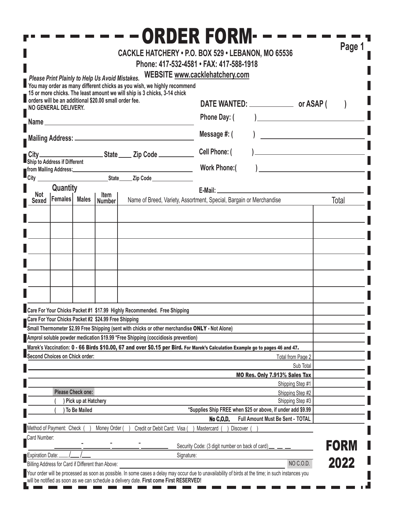|                                                                                                                                                                                                                                                                                         |                                |                     |                                                      |                                                                                                                                                                                                                                                                 | <b>ORDER FORM--</b><br>CACKLE HATCHERY . P.O. BOX 529 . LEBANON, MO 65536<br>Phone: 417-532-4581 • FAX: 417-588-1918           | Page 1                                                                                                                                                                                                                        |  |
|-----------------------------------------------------------------------------------------------------------------------------------------------------------------------------------------------------------------------------------------------------------------------------------------|--------------------------------|---------------------|------------------------------------------------------|-----------------------------------------------------------------------------------------------------------------------------------------------------------------------------------------------------------------------------------------------------------------|--------------------------------------------------------------------------------------------------------------------------------|-------------------------------------------------------------------------------------------------------------------------------------------------------------------------------------------------------------------------------|--|
| Please Print Plainly to Help Us Avoid Mistakes.<br>You may order as many different chicks as you wish, we highly recommend<br>15 or more chicks. The least amount we will ship is 3 chicks, 3-14 chick<br>orders will be an additional \$20.00 small order fee.<br>NO GENERAL DELIVERY. |                                |                     |                                                      |                                                                                                                                                                                                                                                                 | WEBSITE www.cacklehatchery.com<br>Phone Day: (<br>Message #: (<br>Cell Phone: (<br><b>Work Phone:</b> (                        | <u> 1989 - Johann John Stone, mars et al.</u><br>$\mathcal{L}^{\mathcal{L}}(\mathcal{L}^{\mathcal{L}})$ and $\mathcal{L}^{\mathcal{L}}(\mathcal{L}^{\mathcal{L}})$ and $\mathcal{L}^{\mathcal{L}}(\mathcal{L}^{\mathcal{L}})$ |  |
|                                                                                                                                                                                                                                                                                         | Quantity                       |                     |                                                      |                                                                                                                                                                                                                                                                 |                                                                                                                                |                                                                                                                                                                                                                               |  |
| Not                                                                                                                                                                                                                                                                                     | Sexed Females Males            |                     | Item<br><b>Number</b>                                |                                                                                                                                                                                                                                                                 | Name of Breed, Variety, Assortment, Special, Bargain or Merchandise                                                            | Total                                                                                                                                                                                                                         |  |
|                                                                                                                                                                                                                                                                                         | Second Choices on Chick order: |                     | Care For Your Chicks Packet #2 \$24.99 Free Shipping | Care For Your Chicks Packet #1 \$17.99 Highly Recommended. Free Shipping<br>Small Thermometer \$2.99 Free Shipping (sent with chicks or other merchandise ONLY - Not Alone)<br>Amprol soluble powder medication \$19.99 *Free Shipping (coccidiosis prevention) | Marek's Vaccination: 0 - 66 Birds \$10.00, 67 and over \$0.15 per Bird. For Marek's Calculation Example go to pages 46 and 47. | Total from Page 2<br>Sub Total                                                                                                                                                                                                |  |
|                                                                                                                                                                                                                                                                                         |                                |                     |                                                      |                                                                                                                                                                                                                                                                 | MO Res. Only 7.913% Sales Tax                                                                                                  |                                                                                                                                                                                                                               |  |
|                                                                                                                                                                                                                                                                                         |                                |                     |                                                      |                                                                                                                                                                                                                                                                 |                                                                                                                                | Shipping Step #1                                                                                                                                                                                                              |  |
| <b>Please Check one:</b><br>Shipping Step #2<br>Pick up at Hatchery<br>Shipping Step #3                                                                                                                                                                                                 |                                |                     |                                                      |                                                                                                                                                                                                                                                                 |                                                                                                                                |                                                                                                                                                                                                                               |  |
|                                                                                                                                                                                                                                                                                         |                                | <b>To Be Mailed</b> |                                                      |                                                                                                                                                                                                                                                                 | *Supplies Ship FREE when \$25 or above, if under add \$9.99                                                                    |                                                                                                                                                                                                                               |  |
|                                                                                                                                                                                                                                                                                         |                                |                     |                                                      |                                                                                                                                                                                                                                                                 | <b>No C.O.D.</b><br>Full Amount Must Be Sent - TOTAL                                                                           |                                                                                                                                                                                                                               |  |
| Card Number:<br>Expiration Date:                                                                                                                                                                                                                                                        | Method of Payment: Check       |                     | Money Order                                          | Credit or Debit Card: Visa                                                                                                                                                                                                                                      | Mastercard<br>Discover<br>Security Code: (3 digit number on back of card)<br>Signature:                                        | <b>FORM</b>                                                                                                                                                                                                                   |  |
|                                                                                                                                                                                                                                                                                         |                                |                     | Billing Address for Card if Different than Above:    |                                                                                                                                                                                                                                                                 |                                                                                                                                | 2022<br>NO C.O.D.                                                                                                                                                                                                             |  |